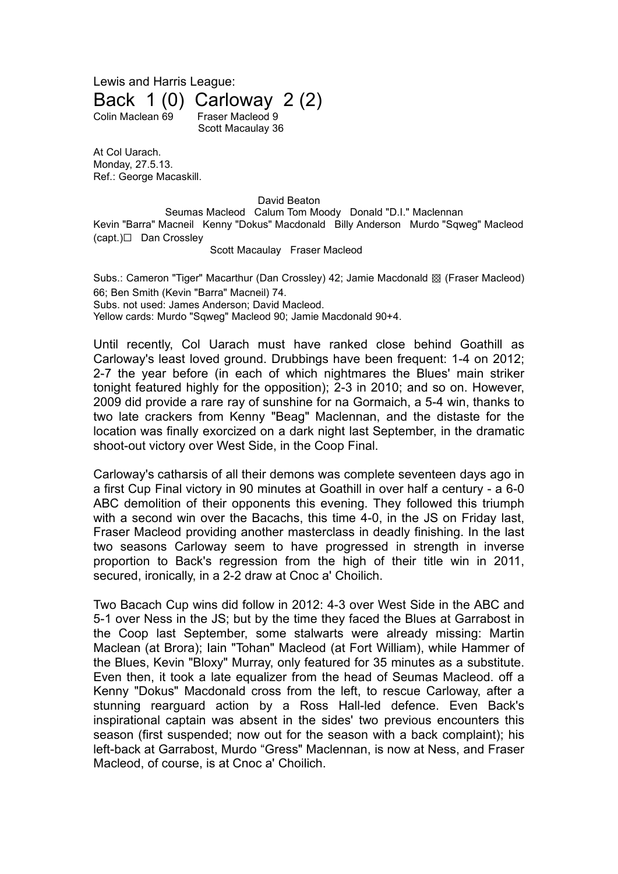Lewis and Harris League: Back 1 (0) Carloway 2 (2) Colin Maclean 69 Fraser Macleod 9 Scott Macaulay 36

At Col Uarach. Monday, 27.5.13. Ref.: George Macaskill.

David Beaton

Seumas Macleod Calum Tom Moody Donald "D.I." Maclennan Kevin "Barra" Macneil Kenny "Dokus" Macdonald Billy Anderson Murdo "Sqweg" Macleod (capt.)☐ Dan Crossley

## Scott Macaulay Fraser Macleod

Subs.: Cameron "Tiger" Macarthur (Dan Crossley) 42; Jamie Macdonald ▩ (Fraser Macleod) 66; Ben Smith (Kevin "Barra" Macneil) 74. Subs. not used: James Anderson; David Macleod. Yellow cards: Murdo "Sqweg" Macleod 90; Jamie Macdonald 90+4.

Until recently, Col Uarach must have ranked close behind Goathill as Carloway's least loved ground. Drubbings have been frequent: 1-4 on 2012; 2-7 the year before (in each of which nightmares the Blues' main striker tonight featured highly for the opposition); 2-3 in 2010; and so on. However, 2009 did provide a rare ray of sunshine for na Gormaich, a 5-4 win, thanks to two late crackers from Kenny "Beag" Maclennan, and the distaste for the location was finally exorcized on a dark night last September, in the dramatic shoot-out victory over West Side, in the Coop Final.

Carloway's catharsis of all their demons was complete seventeen days ago in a first Cup Final victory in 90 minutes at Goathill in over half a century - a 6-0 ABC demolition of their opponents this evening. They followed this triumph with a second win over the Bacachs, this time 4-0, in the JS on Friday last, Fraser Macleod providing another masterclass in deadly finishing. In the last two seasons Carloway seem to have progressed in strength in inverse proportion to Back's regression from the high of their title win in 2011, secured, ironically, in a 2-2 draw at Cnoc a' Choilich.

Two Bacach Cup wins did follow in 2012: 4-3 over West Side in the ABC and 5-1 over Ness in the JS; but by the time they faced the Blues at Garrabost in the Coop last September, some stalwarts were already missing: Martin Maclean (at Brora); Iain "Tohan" Macleod (at Fort William), while Hammer of the Blues, Kevin "Bloxy" Murray, only featured for 35 minutes as a substitute. Even then, it took a late equalizer from the head of Seumas Macleod. off a Kenny "Dokus" Macdonald cross from the left, to rescue Carloway, after a stunning rearguard action by a Ross Hall-led defence. Even Back's inspirational captain was absent in the sides' two previous encounters this season (first suspended; now out for the season with a back complaint); his left-back at Garrabost, Murdo "Gress" Maclennan, is now at Ness, and Fraser Macleod, of course, is at Cnoc a' Choilich.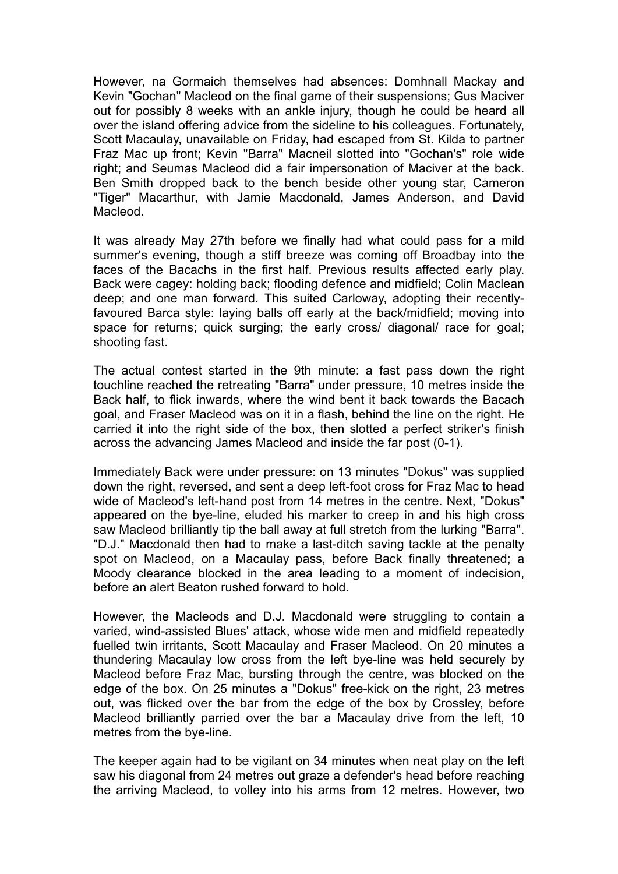However, na Gormaich themselves had absences: Domhnall Mackay and Kevin "Gochan" Macleod on the final game of their suspensions; Gus Maciver out for possibly 8 weeks with an ankle injury, though he could be heard all over the island offering advice from the sideline to his colleagues. Fortunately, Scott Macaulay, unavailable on Friday, had escaped from St. Kilda to partner Fraz Mac up front; Kevin "Barra" Macneil slotted into "Gochan's" role wide right; and Seumas Macleod did a fair impersonation of Maciver at the back. Ben Smith dropped back to the bench beside other young star, Cameron "Tiger" Macarthur, with Jamie Macdonald, James Anderson, and David Macleod.

It was already May 27th before we finally had what could pass for a mild summer's evening, though a stiff breeze was coming off Broadbay into the faces of the Bacachs in the first half. Previous results affected early play. Back were cagey: holding back; flooding defence and midfield; Colin Maclean deep; and one man forward. This suited Carloway, adopting their recentlyfavoured Barca style: laying balls off early at the back/midfield; moving into space for returns; quick surging; the early cross/ diagonal/ race for goal; shooting fast.

The actual contest started in the 9th minute: a fast pass down the right touchline reached the retreating "Barra" under pressure, 10 metres inside the Back half, to flick inwards, where the wind bent it back towards the Bacach goal, and Fraser Macleod was on it in a flash, behind the line on the right. He carried it into the right side of the box, then slotted a perfect striker's finish across the advancing James Macleod and inside the far post (0-1).

Immediately Back were under pressure: on 13 minutes "Dokus" was supplied down the right, reversed, and sent a deep left-foot cross for Fraz Mac to head wide of Macleod's left-hand post from 14 metres in the centre. Next, "Dokus" appeared on the bye-line, eluded his marker to creep in and his high cross saw Macleod brilliantly tip the ball away at full stretch from the lurking "Barra". "D.J." Macdonald then had to make a last-ditch saving tackle at the penalty spot on Macleod, on a Macaulay pass, before Back finally threatened; a Moody clearance blocked in the area leading to a moment of indecision, before an alert Beaton rushed forward to hold.

However, the Macleods and D.J. Macdonald were struggling to contain a varied, wind-assisted Blues' attack, whose wide men and midfield repeatedly fuelled twin irritants, Scott Macaulay and Fraser Macleod. On 20 minutes a thundering Macaulay low cross from the left bye-line was held securely by Macleod before Fraz Mac, bursting through the centre, was blocked on the edge of the box. On 25 minutes a "Dokus" free-kick on the right, 23 metres out, was flicked over the bar from the edge of the box by Crossley, before Macleod brilliantly parried over the bar a Macaulay drive from the left, 10 metres from the bye-line.

The keeper again had to be vigilant on 34 minutes when neat play on the left saw his diagonal from 24 metres out graze a defender's head before reaching the arriving Macleod, to volley into his arms from 12 metres. However, two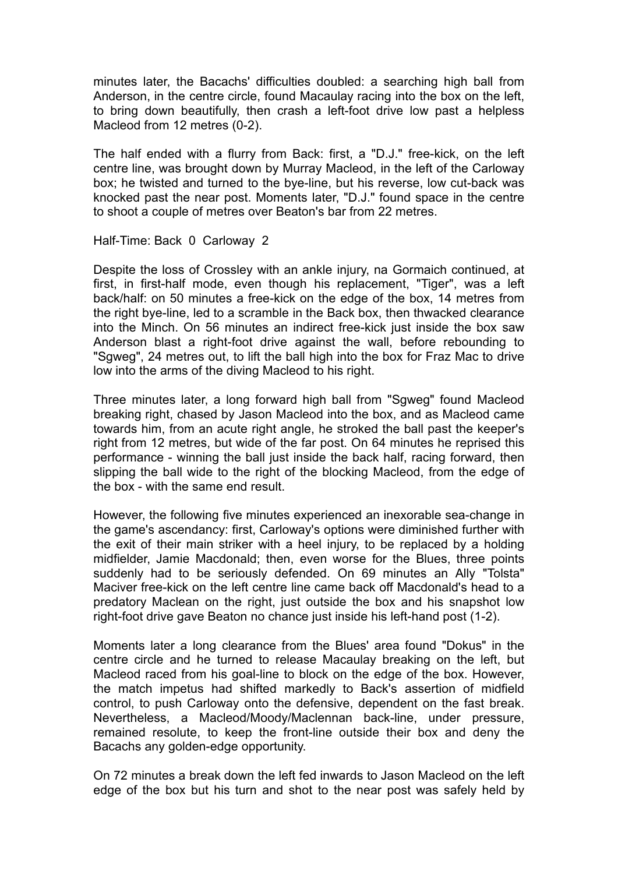minutes later, the Bacachs' difficulties doubled: a searching high ball from Anderson, in the centre circle, found Macaulay racing into the box on the left, to bring down beautifully, then crash a left-foot drive low past a helpless Macleod from 12 metres (0-2).

The half ended with a flurry from Back: first, a "D.J." free-kick, on the left centre line, was brought down by Murray Macleod, in the left of the Carloway box; he twisted and turned to the bye-line, but his reverse, low cut-back was knocked past the near post. Moments later, "D.J." found space in the centre to shoot a couple of metres over Beaton's bar from 22 metres.

Half-Time: Back 0 Carloway 2

Despite the loss of Crossley with an ankle injury, na Gormaich continued, at first, in first-half mode, even though his replacement, "Tiger", was a left back/half: on 50 minutes a free-kick on the edge of the box, 14 metres from the right bye-line, led to a scramble in the Back box, then thwacked clearance into the Minch. On 56 minutes an indirect free-kick just inside the box saw Anderson blast a right-foot drive against the wall, before rebounding to "Sgweg", 24 metres out, to lift the ball high into the box for Fraz Mac to drive low into the arms of the diving Macleod to his right.

Three minutes later, a long forward high ball from "Sgweg" found Macleod breaking right, chased by Jason Macleod into the box, and as Macleod came towards him, from an acute right angle, he stroked the ball past the keeper's right from 12 metres, but wide of the far post. On 64 minutes he reprised this performance - winning the ball just inside the back half, racing forward, then slipping the ball wide to the right of the blocking Macleod, from the edge of the box - with the same end result.

However, the following five minutes experienced an inexorable sea-change in the game's ascendancy: first, Carloway's options were diminished further with the exit of their main striker with a heel injury, to be replaced by a holding midfielder, Jamie Macdonald; then, even worse for the Blues, three points suddenly had to be seriously defended. On 69 minutes an Ally "Tolsta" Maciver free-kick on the left centre line came back off Macdonald's head to a predatory Maclean on the right, just outside the box and his snapshot low right-foot drive gave Beaton no chance just inside his left-hand post (1-2).

Moments later a long clearance from the Blues' area found "Dokus" in the centre circle and he turned to release Macaulay breaking on the left, but Macleod raced from his goal-line to block on the edge of the box. However, the match impetus had shifted markedly to Back's assertion of midfield control, to push Carloway onto the defensive, dependent on the fast break. Nevertheless, a Macleod/Moody/Maclennan back-line, under pressure, remained resolute, to keep the front-line outside their box and deny the Bacachs any golden-edge opportunity.

On 72 minutes a break down the left fed inwards to Jason Macleod on the left edge of the box but his turn and shot to the near post was safely held by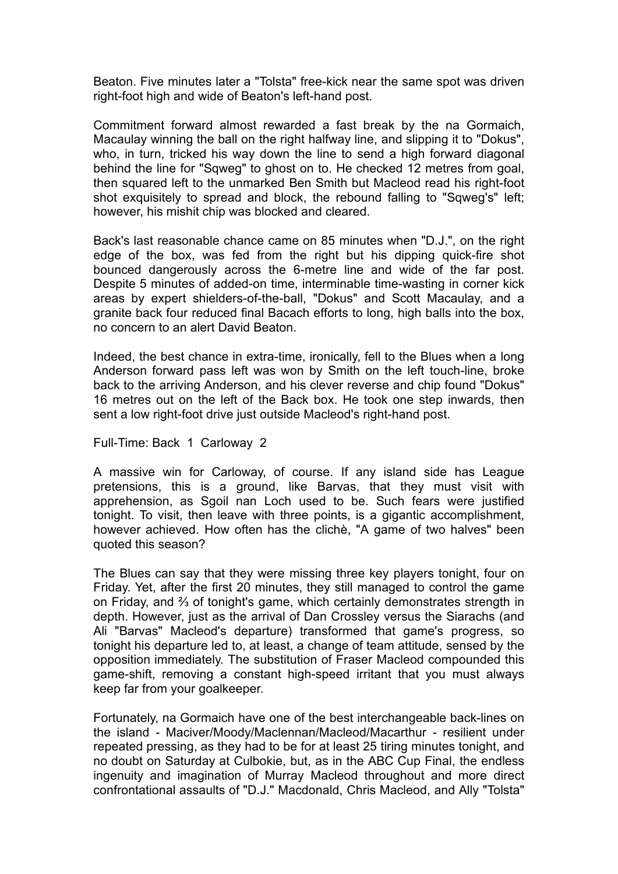Beaton. Five minutes later a "Tolsta" free-kick near the same spot was driven right-foot high and wide of Beaton's left-hand post.

Commitment forward almost rewarded a fast break by the na Gormaich, Macaulay winning the ball on the right halfway line, and slipping it to "Dokus", who, in turn, tricked his way down the line to send a high forward diagonal behind the line for "Sqweg" to ghost on to. He checked 12 metres from goal, then squared left to the unmarked Ben Smith but Macleod read his right-foot shot exquisitely to spread and block, the rebound falling to "Sqweg's" left; however, his mishit chip was blocked and cleared.

Back's last reasonable chance came on 85 minutes when "D.J.", on the right edge of the box, was fed from the right but his dipping quick-fire shot bounced dangerously across the 6-metre line and wide of the far post. Despite 5 minutes of added-on time, interminable time-wasting in corner kick areas by expert shielders-of-the-ball, "Dokus" and Scott Macaulay, and a granite back four reduced final Bacach efforts to long, high balls into the box, no concern to an alert David Beaton.

Indeed, the best chance in extra-time, ironically, fell to the Blues when a long Anderson forward pass left was won by Smith on the left touch-line, broke back to the arriving Anderson, and his clever reverse and chip found "Dokus" 16 metres out on the left of the Back box. He took one step inwards, then sent a low right-foot drive just outside Macleod's right-hand post.

Full-Time: Back 1 Carloway 2

A massive win for Carloway, of course. If any island side has League pretensions, this is a ground, like Barvas, that they must visit with apprehension, as Sgoil nan Loch used to be. Such fears were justified tonight. To visit, then leave with three points, is a gigantic accomplishment, however achieved. How often has the clichè, "A game of two halves" been quoted this season?

The Blues can say that they were missing three key players tonight, four on Friday. Yet, after the first 20 minutes, they still managed to control the game on Friday, and ⅔ of tonight's game, which certainly demonstrates strength in depth. However, just as the arrival of Dan Crossley versus the Siarachs (and Ali "Barvas" Macleod's departure) transformed that game's progress, so tonight his departure led to, at least, a change of team attitude, sensed by the opposition immediately. The substitution of Fraser Macleod compounded this game-shift, removing a constant high-speed irritant that you must always keep far from your goalkeeper.

Fortunately, na Gormaich have one of the best interchangeable back-lines on the island - Maciver/Moody/Maclennan/Macleod/Macarthur - resilient under repeated pressing, as they had to be for at least 25 tiring minutes tonight, and no doubt on Saturday at Culbokie, but, as in the ABC Cup Final, the endless ingenuity and imagination of Murray Macleod throughout and more direct confrontational assaults of "D.J." Macdonald, Chris Macleod, and Ally "Tolsta"